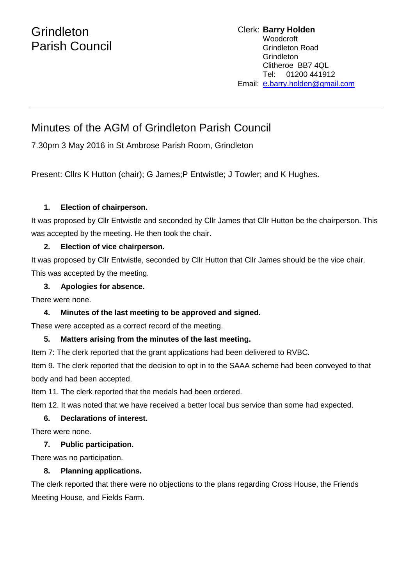# **Grindleton** Parish Council

## Minutes of the AGM of Grindleton Parish Council

7.30pm 3 May 2016 in St Ambrose Parish Room, Grindleton

Present: Cllrs K Hutton (chair); G James; P Entwistle; J Towler; and K Hughes.

#### **1. Election of chairperson.**

It was proposed by Cllr Entwistle and seconded by Cllr James that Cllr Hutton be the chairperson. This was accepted by the meeting. He then took the chair.

### **2. Election of vice chairperson.**

It was proposed by Cllr Entwistle, seconded by Cllr Hutton that Cllr James should be the vice chair. This was accepted by the meeting.

### **3. Apologies for absence.**

There were none.

### **4. Minutes of the last meeting to be approved and signed.**

These were accepted as a correct record of the meeting.

#### **5. Matters arising from the minutes of the last meeting.**

Item 7: The clerk reported that the grant applications had been delivered to RVBC.

Item 9. The clerk reported that the decision to opt in to the SAAA scheme had been conveyed to that body and had been accepted.

Item 11. The clerk reported that the medals had been ordered.

Item 12. It was noted that we have received a better local bus service than some had expected.

#### **6. Declarations of interest.**

There were none.

#### **7. Public participation.**

There was no participation.

#### **8. Planning applications.**

The clerk reported that there were no objections to the plans regarding Cross House, the Friends Meeting House, and Fields Farm.